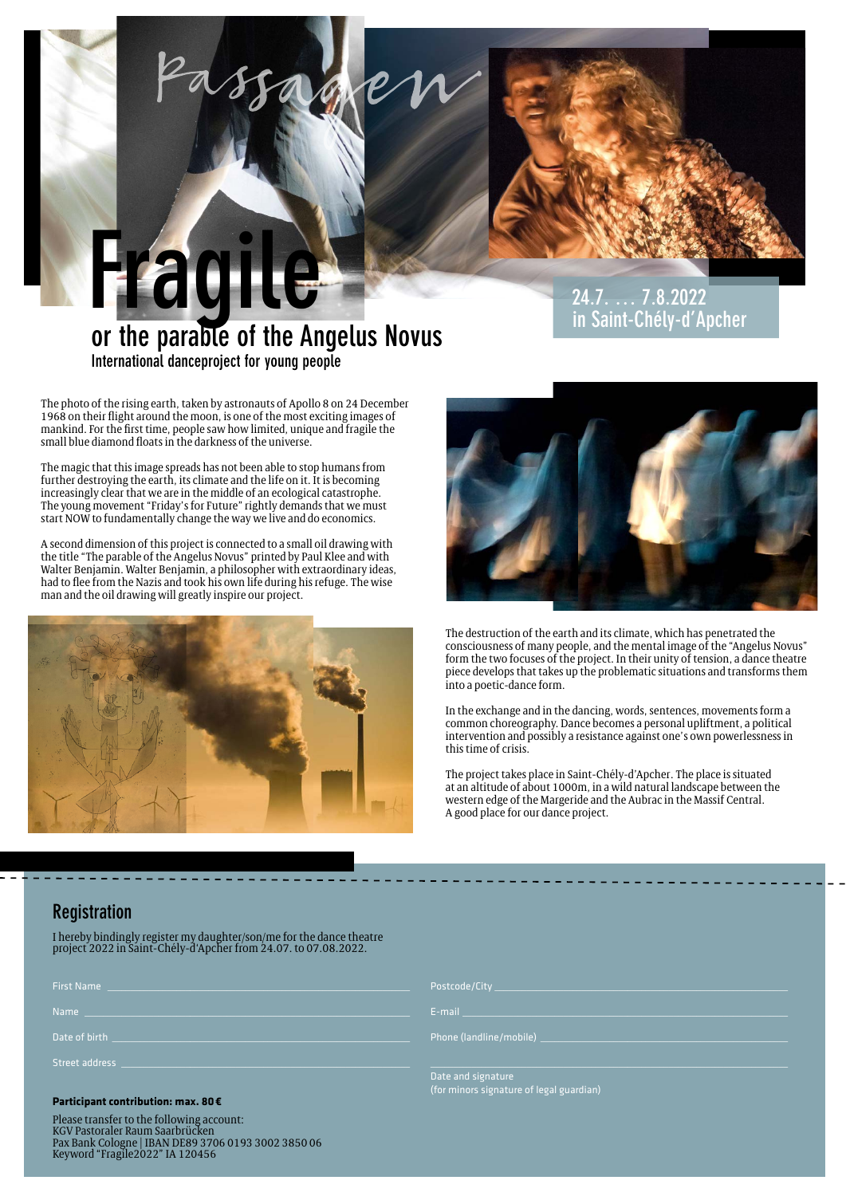

**or the parable of the Angelus Novus International danceproject for young people**

**24.7. … 7.8.2022 in Saint-Chély-d'Apcher**

The photo of the rising earth, taken by astronauts of Apollo 8 on 24 December 1968 on their flight around the moon, is one of the most exciting images of mankind. For the first time, people saw how limited, unique and fragile the small blue diamond floats in the darkness of the universe.

**Fragile**

The magic that this image spreads has not been able to stop humans from further destroying the earth, its climate and the life on it. It is becoming increasingly clear that we are in the middle of an ecological catastrophe. The young movement "Friday's for Future" rightly demands that we must start NOW to fundamentally change the way we live and do economics.

A second dimension of this project is connected to a small oil drawing with the title "The parable of the Angelus Novus" printed by Paul Klee and with Walter Benjamin. Walter Benjamin, a philosopher with extraordinary ideas, had to flee from the Nazis and took his own life during his refuge. The wise man and the oil drawing will greatly inspire our project.





The destruction of the earth and its climate, which has penetrated the consciousness of many people, and the mental image of the "Angelus Novus" form the two focuses of the project. In their unity of tension, a dance theatre piece develops that takes up the problematic situations and transforms them into a poetic-dance form.

In the exchange and in the dancing, words, sentences, movements form a common choreography. Dance becomes a personal upliftment, a political intervention and possibly a resistance against one's own powerlessness in this time of crisis.

The project takes place in Saint-Chély-d'Apcher. The place is situated at an altitude of about 1000m, in a wild natural landscape between the western edge of the Margeride and the Aubrac in the Massif Central. A good place for our dance project.

# **Registration**

I hereby bindingly register my daughter/son/me for the dance theatre project 2022 in Saint-Chély-d'Apcher from 24.07. to 07.08.2022.

| <b>First Name</b> |  |  |  |
|-------------------|--|--|--|
| <b>Name</b>       |  |  |  |
| Date of birth     |  |  |  |
| Street address    |  |  |  |

# **Participant contribution: max. 80€**

Please transfer to the following account: KGV Pastoraler Raum Saarbrücken Pax Bank Cologne | IBAN DE89 3706 0193 3002 3850 06 Keyword "Fragile2022" IA 120456

 $F$ -mail  $\Box$ 

Date and signature (for minors signature of legal guardian)